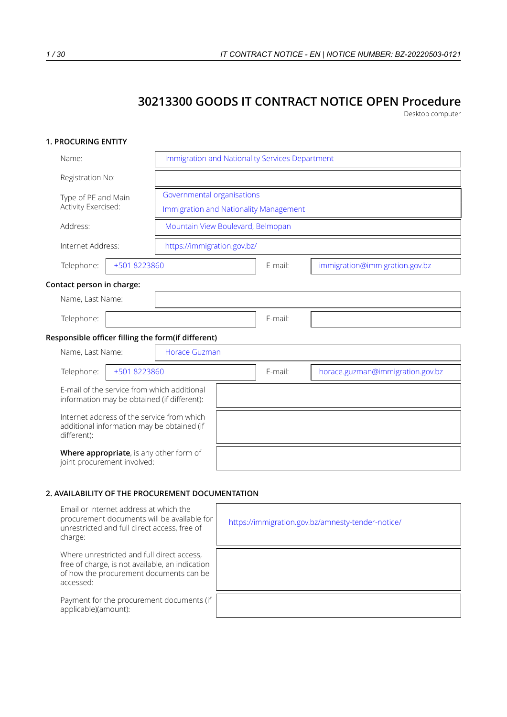# **30213300 GOODS IT CONTRACT NOTICE OPEN Procedure**

Desktop computer

# **1. PROCURING ENTITY**

| Name:                                                                                                   | Immigration and Nationality Services Department |         |                                  |  |
|---------------------------------------------------------------------------------------------------------|-------------------------------------------------|---------|----------------------------------|--|
| Registration No:                                                                                        |                                                 |         |                                  |  |
| Type of PE and Main                                                                                     | Governmental organisations                      |         |                                  |  |
| Activity Exercised:                                                                                     | Immigration and Nationality Management          |         |                                  |  |
| Address:                                                                                                | Mountain View Boulevard, Belmopan               |         |                                  |  |
| Internet Address:                                                                                       | https://immigration.gov.bz/                     |         |                                  |  |
| +501 8223860<br>Telephone:                                                                              |                                                 | E-mail: | immigration@immigration.gov.bz   |  |
| Contact person in charge:                                                                               |                                                 |         |                                  |  |
| Name, Last Name:                                                                                        |                                                 |         |                                  |  |
| Telephone:                                                                                              |                                                 | E-mail: |                                  |  |
| Responsible officer filling the form(if different)                                                      |                                                 |         |                                  |  |
| Name, Last Name:                                                                                        | <b>Horace Guzman</b>                            |         |                                  |  |
| Telephone:<br>+501 8223860                                                                              |                                                 | E-mail: | horace.guzman@immigration.gov.bz |  |
| E-mail of the service from which additional<br>information may be obtained (if different):              |                                                 |         |                                  |  |
| Internet address of the service from which<br>additional information may be obtained (if<br>different): |                                                 |         |                                  |  |
| Where appropriate, is any other form of<br>joint procurement involved:                                  |                                                 |         |                                  |  |

### **2. AVAILABILITY OF THE PROCUREMENT DOCUMENTATION**

| Email or internet address at which the<br>procurement documents will be available for<br>unrestricted and full direct access, free of<br>charge:      | https://immigration.gov.bz/amnesty-tender-notice/ |
|-------------------------------------------------------------------------------------------------------------------------------------------------------|---------------------------------------------------|
| Where unrestricted and full direct access,<br>free of charge, is not available, an indication<br>of how the procurement documents can be<br>accessed: |                                                   |
| Payment for the procurement documents (if<br>applicable)(amount):                                                                                     |                                                   |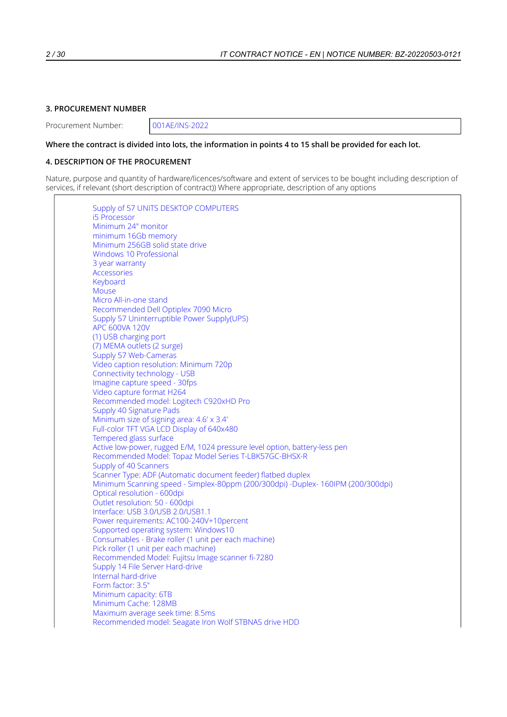# **3. PROCUREMENT NUMBER**

Procurement Number: 001AE/INS-2022

#### Where the contract is divided into lots, the information in points 4 to 15 shall be provided for each lot.

### **4. DESCRIPTION OF THE PROCUREMENT**

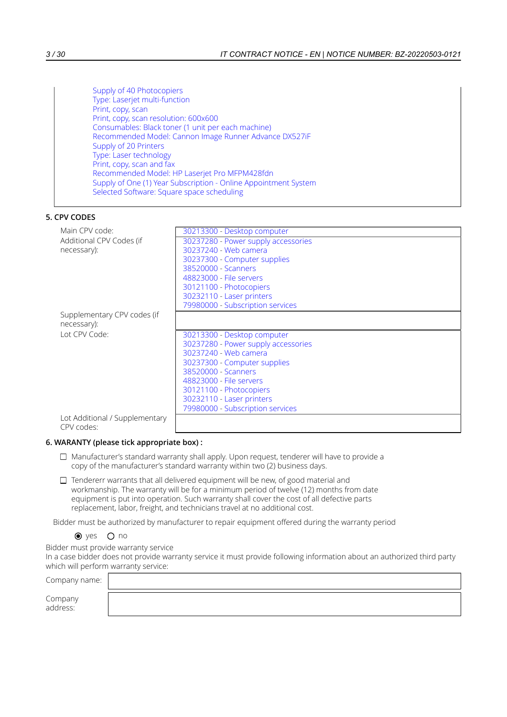Supply of 40 Photocopiers Type: Laserjet multi-function Print, copy, scan Print, copy, scan resolution: 600x600 Consumables: Black toner (1 unit per each machine) Recommended Model: Cannon Image Runner Advance DX527iF Supply of 20 Printers Type: Laser technology Print, copy, scan and fax Recommended Model: HP Laserjet Pro MFPM428fdn Supply of One (1) Year Subscription - Online Appointment System Selected Software: Square space scheduling

### **5. CPV CODES**

| Main CPV code:                 | 30213300 - Desktop computer         |
|--------------------------------|-------------------------------------|
| Additional CPV Codes (if       | 30237280 - Power supply accessories |
| necessary):                    | 30237240 - Web camera               |
|                                | 30237300 - Computer supplies        |
|                                | 38520000 - Scanners                 |
|                                | 48823000 - File servers             |
|                                | 30121100 - Photocopiers             |
|                                | 30232110 - Laser printers           |
|                                | 79980000 - Subscription services    |
| Supplementary CPV codes (if    |                                     |
| necessary):                    |                                     |
|                                |                                     |
|                                |                                     |
| Lot CPV Code:                  | 30213300 - Desktop computer         |
|                                | 30237280 - Power supply accessories |
|                                | 30237240 - Web camera               |
|                                | 30237300 - Computer supplies        |
|                                | 38520000 - Scanners                 |
|                                | 48823000 - File servers             |
|                                | 30121100 - Photocopiers             |
|                                | 30232110 - Laser printers           |
| Lot Additional / Supplementary | 79980000 - Subscription services    |
|                                |                                     |

### **6. WARANTY (please tick appropriate box) :**

- $\Box$  Manufacturer's standard warranty shall apply. Upon request, tenderer will have to provide a copy of the manufacturer's standard warranty within two (2) business days.
- $\Box$  Tendererr warrants that all delivered equipment will be new, of good material and workmanship. The warranty will be for a minimum period of twelve (12) months from date equipment is put into operation. Such warranty shall cover the cost of all defective parts replacement, labor, freight, and technicians travel at no additional cost.

Bidder must be authorized by manufacturer to repair equipment offered during the warranty period

 $\bullet$  yes  $\circ$  no

Bidder must provide warranty service

In a case bidder does not provide warranty service it must provide following information about an authorized third party which will perform warranty service:

| Company name:       |  |
|---------------------|--|
| Company<br>address: |  |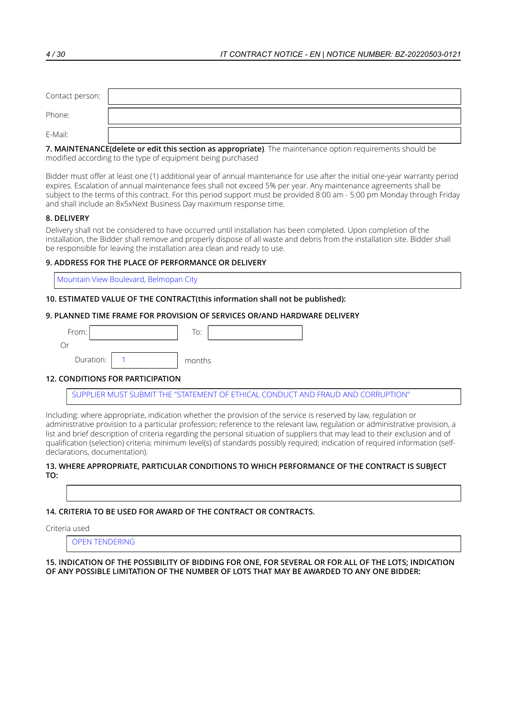| Contact person: |  |
|-----------------|--|
| Phone:          |  |
| E-Mail:         |  |

| 7. MAINTENANCE(delete or edit this section as appropriate). The maintenance option requirements should be |  |
|-----------------------------------------------------------------------------------------------------------|--|
| modified according to the type of equipment being purchased                                               |  |

Bidder must offer at least one (1) additional year of annual maintenance for use after the initial one-year warranty period expires. Escalation of annual maintenance fees shall not exceed 5% per year. Any maintenance agreements shall be subject to the terms of this contract. For this period support must be provided 8:00 am - 5:00 pm Monday through Friday and shall include an 8x5xNext Business Day maximum response time.

# **8. DELIVERY**

Delivery shall not be considered to have occurred until installation has been completed. Upon completion of the installation, the Bidder shall remove and properly dispose of all waste and debris from the installation site. Bidder shall be responsible for leaving the installation area clean and ready to use.

# **9. ADDRESS FOR THE PLACE OF PERFORMANCE OR DELIVERY**

Mountain View Boulevard, Belmopan City

# **10. ESTIMATED VALUE OF THE CONTRACT(this information shall not be published):**

# **9. PLANNED TIME FRAME FOR PROVISION OF SERVICES OR/AND HARDWARE DELIVERY**

| From:     | To:    |
|-----------|--------|
|           |        |
| Duration: | months |

# **12. CONDITIONS FOR PARTICIPATION**

SUPPLIER MUST SUBMIT THE "STATEMENT OF ETHICAL CONDUCT AND FRAUD AND CORRUPTION"

Including: where appropriate, indication whether the provision of the service is reserved by law, regulation or administrative provision to a particular profession; reference to the relevant law, regulation or administrative provision, a list and brief description of criteria regarding the personal situation of suppliers that may lead to their exclusion and of qualification (selection) criteria; minimum level(s) of standards possibly required; indication of required information (selfdeclarations, documentation).

#### **13. WHERE APPROPRIATE, PARTICULAR CONDITIONS TO WHICH PERFORMANCE OF THE CONTRACT IS SUBJECT TO:**

### **14. CRITERIA TO BE USED FOR AWARD OF THE CONTRACT OR CONTRACTS.**

Criteria used

OPEN TENDERING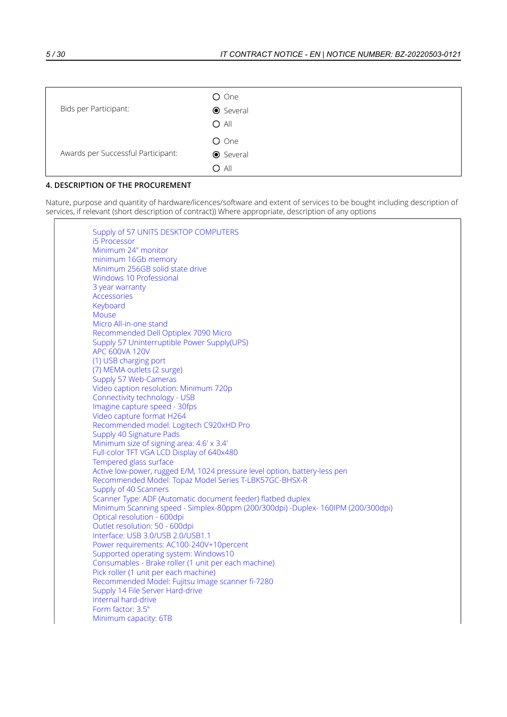| Bids per Participant:              | O One<br><b>●</b> Several<br>$O$ All |
|------------------------------------|--------------------------------------|
| Awards per Successful Participant: | O One<br><b>●</b> Several<br>$O$ All |

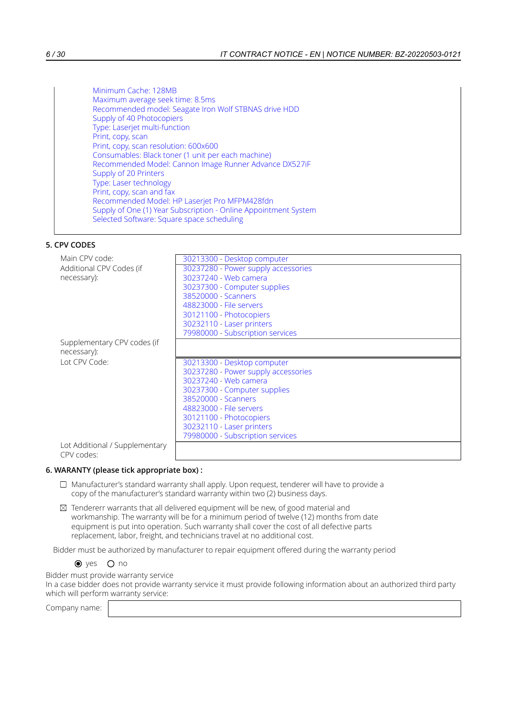# **5. CPV CODES**

| Main CPV code:              | 30213300 - Desktop computer         |
|-----------------------------|-------------------------------------|
| Additional CPV Codes (if    | 30237280 - Power supply accessories |
| necessary):                 | 30237240 - Web camera               |
|                             | 30237300 - Computer supplies        |
|                             | 38520000 - Scanners                 |
|                             | 48823000 - File servers             |
|                             | 30121100 - Photocopiers             |
|                             | 30232110 - Laser printers           |
|                             | 79980000 - Subscription services    |
| Supplementary CPV codes (if |                                     |
| necessary):                 |                                     |
|                             |                                     |
| Lot CPV Code:               | 30213300 - Desktop computer         |
|                             | 30237280 - Power supply accessories |
|                             | 30237240 - Web camera               |
|                             | 30237300 - Computer supplies        |
|                             | 38520000 - Scanners                 |
|                             | 48823000 - File servers             |
|                             | 30121100 - Photocopiers             |
|                             | 30232110 - Laser printers           |
|                             | 79980000 - Subscription services    |

### **6. WARANTY (please tick appropriate box) :**

- $\Box$  Manufacturer's standard warranty shall apply. Upon request, tenderer will have to provide a copy of the manufacturer's standard warranty within two (2) business days.
- $\boxtimes$  Tendererr warrants that all delivered equipment will be new, of good material and workmanship. The warranty will be for a minimum period of twelve (12) months from date equipment is put into operation. Such warranty shall cover the cost of all defective parts replacement, labor, freight, and technicians travel at no additional cost.

Bidder must be authorized by manufacturer to repair equipment offered during the warranty period

 $\bullet$  yes  $\circ$  no

Bidder must provide warranty service

In a case bidder does not provide warranty service it must provide following information about an authorized third party which will perform warranty service: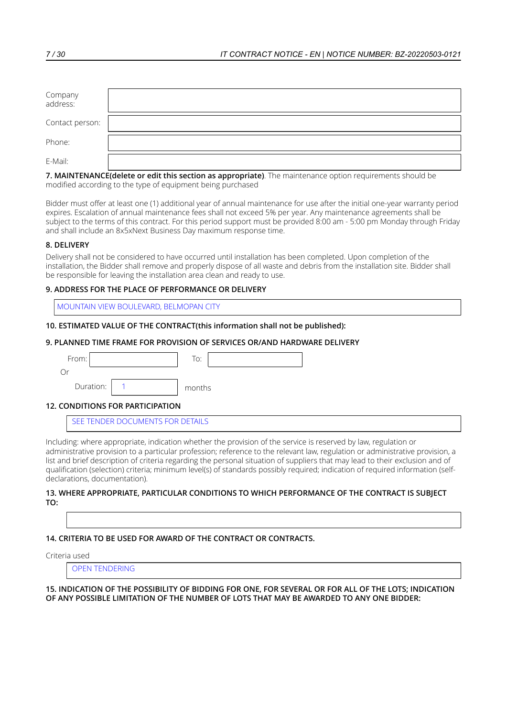| Company<br>address: |  |
|---------------------|--|
| Contact person:     |  |
| Phone:              |  |
| E-Mail:             |  |

Bidder must offer at least one (1) additional year of annual maintenance for use after the initial one-year warranty period expires. Escalation of annual maintenance fees shall not exceed 5% per year. Any maintenance agreements shall be subject to the terms of this contract. For this period support must be provided 8:00 am - 5:00 pm Monday through Friday and shall include an 8x5xNext Business Day maximum response time.

# **8. DELIVERY**

Delivery shall not be considered to have occurred until installation has been completed. Upon completion of the installation, the Bidder shall remove and properly dispose of all waste and debris from the installation site. Bidder shall be responsible for leaving the installation area clean and ready to use.

# **9. ADDRESS FOR THE PLACE OF PERFORMANCE OR DELIVERY**

MOUNTAIN VIEW BOULEVARD, BELMOPAN CITY

### **10. ESTIMATED VALUE OF THE CONTRACT(this information shall not be published):**

### **9. PLANNED TIME FRAME FOR PROVISION OF SERVICES OR/AND HARDWARE DELIVERY**

| From:     |            | To:    |  |
|-----------|------------|--------|--|
| Or        |            |        |  |
| Duration: |            | months |  |
|           | ---------- |        |  |

### **12. CONDITIONS FOR PARTICIPATION**

SEE TENDER DOCUMENTS FOR DETAILS

Including: where appropriate, indication whether the provision of the service is reserved by law, regulation or administrative provision to a particular profession; reference to the relevant law, regulation or administrative provision, a list and brief description of criteria regarding the personal situation of suppliers that may lead to their exclusion and of qualification (selection) criteria; minimum level(s) of standards possibly required; indication of required information (selfdeclarations, documentation).

#### **13. WHERE APPROPRIATE, PARTICULAR CONDITIONS TO WHICH PERFORMANCE OF THE CONTRACT IS SUBJECT TO:**

### **14. CRITERIA TO BE USED FOR AWARD OF THE CONTRACT OR CONTRACTS.**

Criteria used

OPEN TENDERING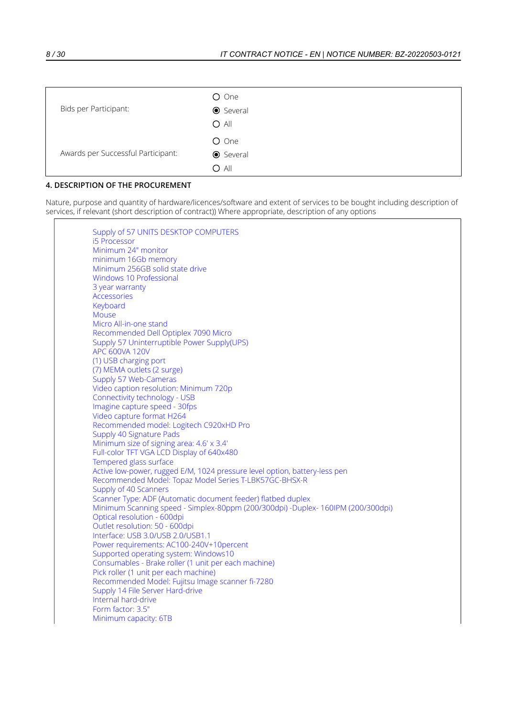| Bids per Participant:              | O One<br><b>●</b> Several<br>$O$ All |
|------------------------------------|--------------------------------------|
| Awards per Successful Participant: | O One<br><b>●</b> Several<br>$O$ All |

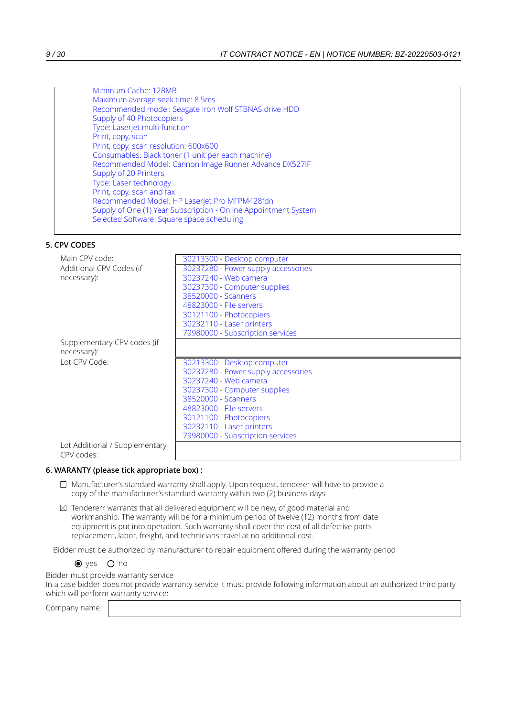# **5. CPV CODES**

| Main CPV code:              | 30213300 - Desktop computer         |
|-----------------------------|-------------------------------------|
| Additional CPV Codes (if    | 30237280 - Power supply accessories |
| necessary):                 | 30237240 - Web camera               |
|                             | 30237300 - Computer supplies        |
|                             | 38520000 - Scanners                 |
|                             | 48823000 - File servers             |
|                             | 30121100 - Photocopiers             |
|                             | 30232110 - Laser printers           |
|                             | 79980000 - Subscription services    |
| Supplementary CPV codes (if |                                     |
| necessary):                 |                                     |
|                             |                                     |
| Lot CPV Code:               | 30213300 - Desktop computer         |
|                             | 30237280 - Power supply accessories |
|                             | 30237240 - Web camera               |
|                             | 30237300 - Computer supplies        |
|                             | 38520000 - Scanners                 |
|                             | 48823000 - File servers             |
|                             | 30121100 - Photocopiers             |
|                             | 30232110 - Laser printers           |
|                             | 79980000 - Subscription services    |

### **6. WARANTY (please tick appropriate box) :**

- $\Box$  Manufacturer's standard warranty shall apply. Upon request, tenderer will have to provide a copy of the manufacturer's standard warranty within two (2) business days.
- $\boxtimes$  Tendererr warrants that all delivered equipment will be new, of good material and workmanship. The warranty will be for a minimum period of twelve (12) months from date equipment is put into operation. Such warranty shall cover the cost of all defective parts replacement, labor, freight, and technicians travel at no additional cost.

Bidder must be authorized by manufacturer to repair equipment offered during the warranty period

 $\bullet$  yes  $\circ$  no

Bidder must provide warranty service

In a case bidder does not provide warranty service it must provide following information about an authorized third party which will perform warranty service: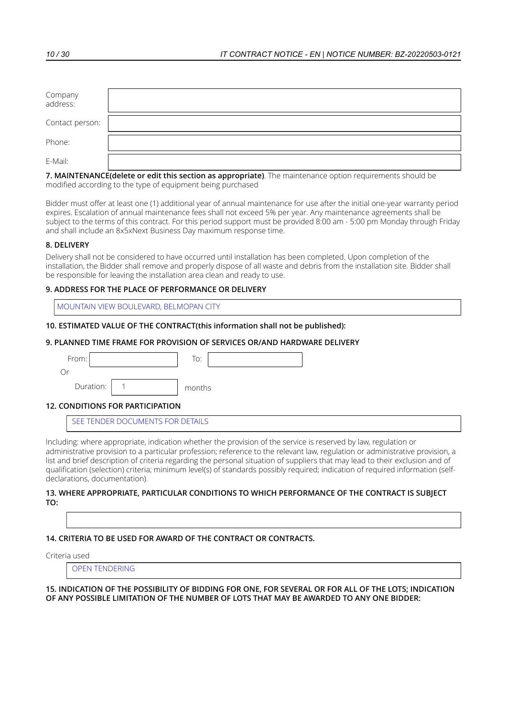| Company<br>address: |  |
|---------------------|--|
| Contact person:     |  |
| Phone:              |  |
| E-Mail:             |  |

Bidder must offer at least one (1) additional year of annual maintenance for use after the initial one-year warranty period expires. Escalation of annual maintenance fees shall not exceed 5% per year. Any maintenance agreements shall be subject to the terms of this contract. For this period support must be provided 8:00 am - 5:00 pm Monday through Friday and shall include an 8x5xNext Business Day maximum response time.

# **8. DELIVERY**

Delivery shall not be considered to have occurred until installation has been completed. Upon completion of the installation, the Bidder shall remove and properly dispose of all waste and debris from the installation site. Bidder shall be responsible for leaving the installation area clean and ready to use.

# **9. ADDRESS FOR THE PLACE OF PERFORMANCE OR DELIVERY**

MOUNTAIN VIEW BOULEVARD, BELMOPAN CITY

### **10. ESTIMATED VALUE OF THE CONTRACT(this information shall not be published):**

### **9. PLANNED TIME FRAME FOR PROVISION OF SERVICES OR/AND HARDWARE DELIVERY**

| From:     |                                    | To:    |
|-----------|------------------------------------|--------|
| Or        |                                    |        |
| Duration: |                                    | months |
| .<br>--   | - - - - - - - - - - - - - <b>.</b> |        |

### **12. CONDITIONS FOR PARTICIPATION**

SEE TENDER DOCUMENTS FOR DETAILS

Including: where appropriate, indication whether the provision of the service is reserved by law, regulation or administrative provision to a particular profession; reference to the relevant law, regulation or administrative provision, a list and brief description of criteria regarding the personal situation of suppliers that may lead to their exclusion and of qualification (selection) criteria; minimum level(s) of standards possibly required; indication of required information (selfdeclarations, documentation).

#### **13. WHERE APPROPRIATE, PARTICULAR CONDITIONS TO WHICH PERFORMANCE OF THE CONTRACT IS SUBJECT TO:**

### **14. CRITERIA TO BE USED FOR AWARD OF THE CONTRACT OR CONTRACTS.**

Criteria used

OPEN TENDERING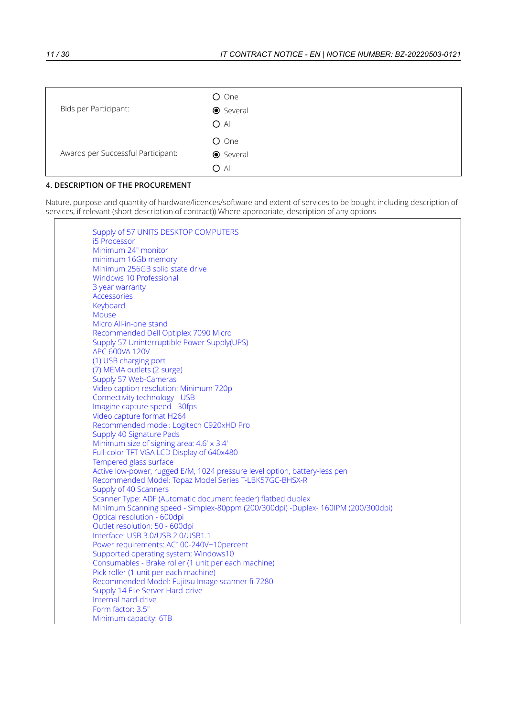| Bids per Participant:              | O One<br><b>●</b> Several<br>$O$ All |
|------------------------------------|--------------------------------------|
| Awards per Successful Participant: | O One<br><b>●</b> Several<br>$O$ All |

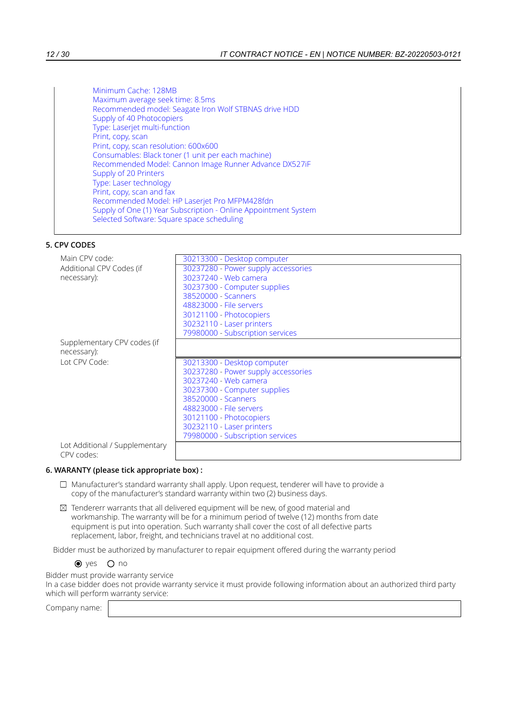# **5. CPV CODES**

| Main CPV code:              | 30213300 - Desktop computer         |
|-----------------------------|-------------------------------------|
| Additional CPV Codes (if    | 30237280 - Power supply accessories |
| necessary):                 | 30237240 - Web camera               |
|                             | 30237300 - Computer supplies        |
|                             | 38520000 - Scanners                 |
|                             | 48823000 - File servers             |
|                             | 30121100 - Photocopiers             |
|                             | 30232110 - Laser printers           |
|                             | 79980000 - Subscription services    |
| Supplementary CPV codes (if |                                     |
| necessary):                 |                                     |
|                             |                                     |
| Lot CPV Code:               | 30213300 - Desktop computer         |
|                             | 30237280 - Power supply accessories |
|                             | 30237240 - Web camera               |
|                             | 30237300 - Computer supplies        |
|                             | 38520000 - Scanners                 |
|                             | 48823000 - File servers             |
|                             | 30121100 - Photocopiers             |
|                             | 30232110 - Laser printers           |
|                             | 79980000 - Subscription services    |

### **6. WARANTY (please tick appropriate box) :**

- $\Box$  Manufacturer's standard warranty shall apply. Upon request, tenderer will have to provide a copy of the manufacturer's standard warranty within two (2) business days.
- $\boxtimes$  Tendererr warrants that all delivered equipment will be new, of good material and workmanship. The warranty will be for a minimum period of twelve (12) months from date equipment is put into operation. Such warranty shall cover the cost of all defective parts replacement, labor, freight, and technicians travel at no additional cost.

Bidder must be authorized by manufacturer to repair equipment offered during the warranty period

 $\bullet$  yes  $\circ$  no

Bidder must provide warranty service

In a case bidder does not provide warranty service it must provide following information about an authorized third party which will perform warranty service: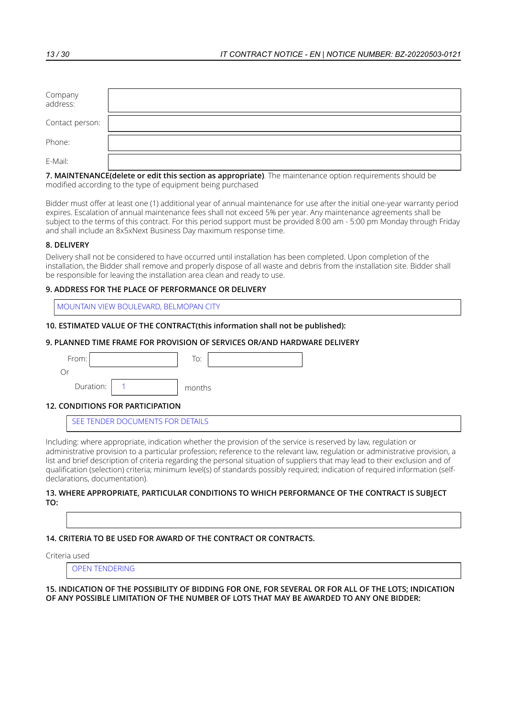| Company<br>address: |  |
|---------------------|--|
| Contact person:     |  |
| Phone:              |  |
| E-Mail:             |  |

Bidder must offer at least one (1) additional year of annual maintenance for use after the initial one-year warranty period expires. Escalation of annual maintenance fees shall not exceed 5% per year. Any maintenance agreements shall be subject to the terms of this contract. For this period support must be provided 8:00 am - 5:00 pm Monday through Friday and shall include an 8x5xNext Business Day maximum response time.

# **8. DELIVERY**

Delivery shall not be considered to have occurred until installation has been completed. Upon completion of the installation, the Bidder shall remove and properly dispose of all waste and debris from the installation site. Bidder shall be responsible for leaving the installation area clean and ready to use.

# **9. ADDRESS FOR THE PLACE OF PERFORMANCE OR DELIVERY**

MOUNTAIN VIEW BOULEVARD, BELMOPAN CITY

### **10. ESTIMATED VALUE OF THE CONTRACT(this information shall not be published):**

### **9. PLANNED TIME FRAME FOR PROVISION OF SERVICES OR/AND HARDWARE DELIVERY**

| From:     |            | To:    |  |  |
|-----------|------------|--------|--|--|
| Or        |            |        |  |  |
| Duration: |            | months |  |  |
| .<br>--   | ---------- |        |  |  |

### **12. CONDITIONS FOR PARTICIPATION**

SEE TENDER DOCUMENTS FOR DETAILS

Including: where appropriate, indication whether the provision of the service is reserved by law, regulation or administrative provision to a particular profession; reference to the relevant law, regulation or administrative provision, a list and brief description of criteria regarding the personal situation of suppliers that may lead to their exclusion and of qualification (selection) criteria; minimum level(s) of standards possibly required; indication of required information (selfdeclarations, documentation).

#### **13. WHERE APPROPRIATE, PARTICULAR CONDITIONS TO WHICH PERFORMANCE OF THE CONTRACT IS SUBJECT TO:**

### **14. CRITERIA TO BE USED FOR AWARD OF THE CONTRACT OR CONTRACTS.**

Criteria used

OPEN TENDERING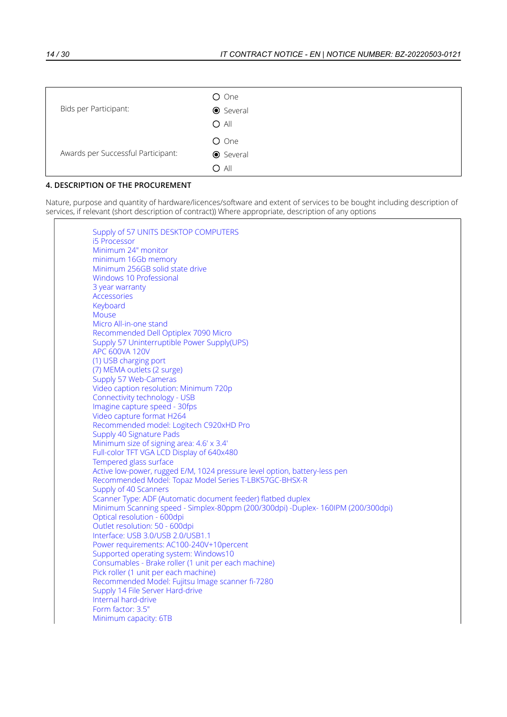| Bids per Participant:              | O One<br><b>●</b> Several<br>$O$ All |
|------------------------------------|--------------------------------------|
| Awards per Successful Participant: | O One<br><b>●</b> Several<br>$O$ All |

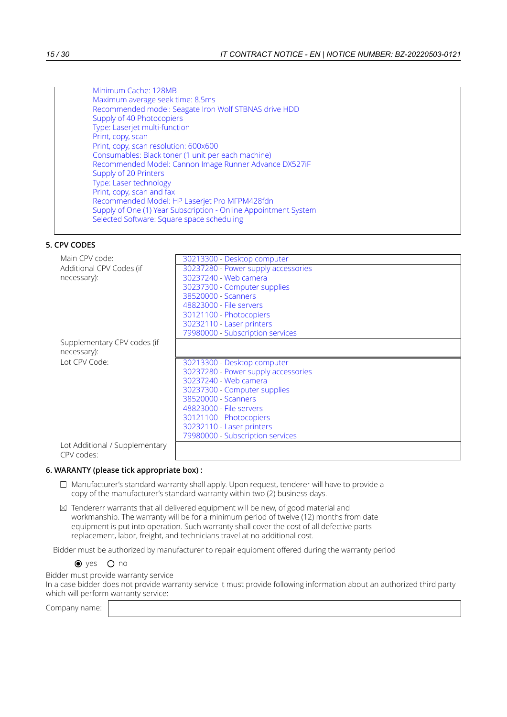# **5. CPV CODES**

| Main CPV code:              | 30213300 - Desktop computer         |
|-----------------------------|-------------------------------------|
| Additional CPV Codes (if    | 30237280 - Power supply accessories |
| necessary):                 | 30237240 - Web camera               |
|                             | 30237300 - Computer supplies        |
|                             | 38520000 - Scanners                 |
|                             | 48823000 - File servers             |
|                             | 30121100 - Photocopiers             |
|                             | 30232110 - Laser printers           |
|                             | 79980000 - Subscription services    |
| Supplementary CPV codes (if |                                     |
| necessary):                 |                                     |
|                             |                                     |
| Lot CPV Code:               | 30213300 - Desktop computer         |
|                             | 30237280 - Power supply accessories |
|                             | 30237240 - Web camera               |
|                             | 30237300 - Computer supplies        |
|                             | 38520000 - Scanners                 |
|                             | 48823000 - File servers             |
|                             | 30121100 - Photocopiers             |
|                             | 30232110 - Laser printers           |
|                             | 79980000 - Subscription services    |

### **6. WARANTY (please tick appropriate box) :**

- $\Box$  Manufacturer's standard warranty shall apply. Upon request, tenderer will have to provide a copy of the manufacturer's standard warranty within two (2) business days.
- $\boxtimes$  Tendererr warrants that all delivered equipment will be new, of good material and workmanship. The warranty will be for a minimum period of twelve (12) months from date equipment is put into operation. Such warranty shall cover the cost of all defective parts replacement, labor, freight, and technicians travel at no additional cost.

Bidder must be authorized by manufacturer to repair equipment offered during the warranty period

 $\bullet$  yes  $\circ$  no

Bidder must provide warranty service

In a case bidder does not provide warranty service it must provide following information about an authorized third party which will perform warranty service: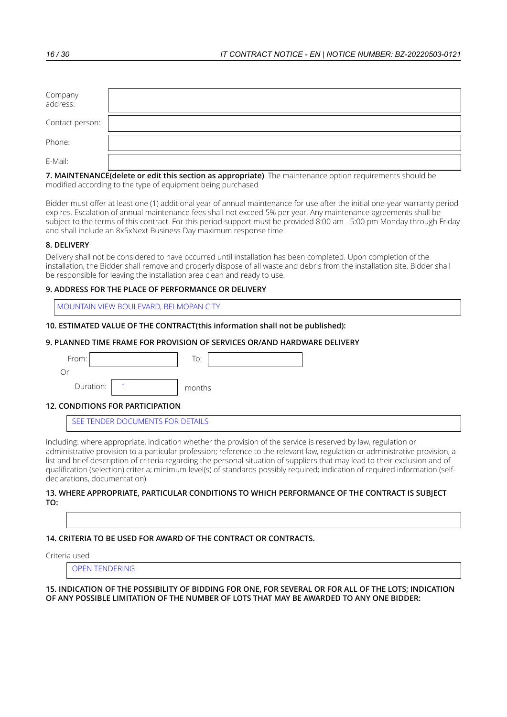| Company<br>address: |  |
|---------------------|--|
| Contact person:     |  |
| Phone:              |  |
| E-Mail:             |  |

Bidder must offer at least one (1) additional year of annual maintenance for use after the initial one-year warranty period expires. Escalation of annual maintenance fees shall not exceed 5% per year. Any maintenance agreements shall be subject to the terms of this contract. For this period support must be provided 8:00 am - 5:00 pm Monday through Friday and shall include an 8x5xNext Business Day maximum response time.

# **8. DELIVERY**

Delivery shall not be considered to have occurred until installation has been completed. Upon completion of the installation, the Bidder shall remove and properly dispose of all waste and debris from the installation site. Bidder shall be responsible for leaving the installation area clean and ready to use.

# **9. ADDRESS FOR THE PLACE OF PERFORMANCE OR DELIVERY**

MOUNTAIN VIEW BOULEVARD, BELMOPAN CITY

### **10. ESTIMATED VALUE OF THE CONTRACT(this information shall not be published):**

### **9. PLANNED TIME FRAME FOR PROVISION OF SERVICES OR/AND HARDWARE DELIVERY**

| From:     |            | To:    |  |  |
|-----------|------------|--------|--|--|
| Or        |            |        |  |  |
| Duration: |            | months |  |  |
| .<br>--   | ---------- |        |  |  |

### **12. CONDITIONS FOR PARTICIPATION**

SEE TENDER DOCUMENTS FOR DETAILS

Including: where appropriate, indication whether the provision of the service is reserved by law, regulation or administrative provision to a particular profession; reference to the relevant law, regulation or administrative provision, a list and brief description of criteria regarding the personal situation of suppliers that may lead to their exclusion and of qualification (selection) criteria; minimum level(s) of standards possibly required; indication of required information (selfdeclarations, documentation).

#### **13. WHERE APPROPRIATE, PARTICULAR CONDITIONS TO WHICH PERFORMANCE OF THE CONTRACT IS SUBJECT TO:**

### **14. CRITERIA TO BE USED FOR AWARD OF THE CONTRACT OR CONTRACTS.**

Criteria used

OPEN TENDERING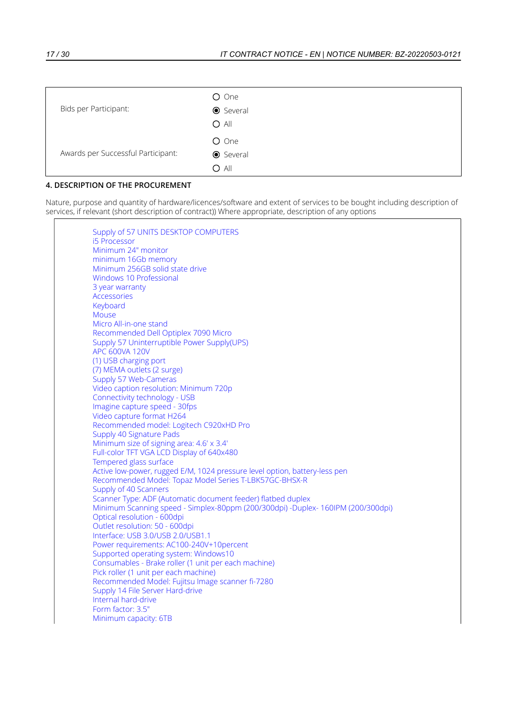| Bids per Participant:              | O One<br><b>●</b> Several<br>$O$ All |
|------------------------------------|--------------------------------------|
| Awards per Successful Participant: | O One<br><b>●</b> Several<br>$O$ All |

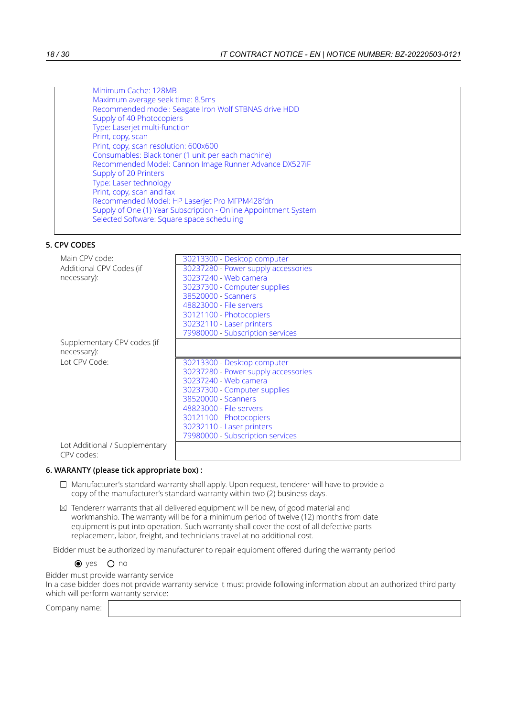# **5. CPV CODES**

| Main CPV code:              | 30213300 - Desktop computer         |
|-----------------------------|-------------------------------------|
| Additional CPV Codes (if    | 30237280 - Power supply accessories |
| necessary):                 | 30237240 - Web camera               |
|                             | 30237300 - Computer supplies        |
|                             | 38520000 - Scanners                 |
|                             | 48823000 - File servers             |
|                             | 30121100 - Photocopiers             |
|                             | 30232110 - Laser printers           |
|                             | 79980000 - Subscription services    |
| Supplementary CPV codes (if |                                     |
| necessary):                 |                                     |
|                             |                                     |
| Lot CPV Code:               | 30213300 - Desktop computer         |
|                             | 30237280 - Power supply accessories |
|                             | 30237240 - Web camera               |
|                             | 30237300 - Computer supplies        |
|                             | 38520000 - Scanners                 |
|                             | 48823000 - File servers             |
|                             | 30121100 - Photocopiers             |
|                             | 30232110 - Laser printers           |
|                             | 79980000 - Subscription services    |

### **6. WARANTY (please tick appropriate box) :**

- $\Box$  Manufacturer's standard warranty shall apply. Upon request, tenderer will have to provide a copy of the manufacturer's standard warranty within two (2) business days.
- $\boxtimes$  Tendererr warrants that all delivered equipment will be new, of good material and workmanship. The warranty will be for a minimum period of twelve (12) months from date equipment is put into operation. Such warranty shall cover the cost of all defective parts replacement, labor, freight, and technicians travel at no additional cost.

Bidder must be authorized by manufacturer to repair equipment offered during the warranty period

 $\bullet$  yes  $\circ$  no

Bidder must provide warranty service

In a case bidder does not provide warranty service it must provide following information about an authorized third party which will perform warranty service: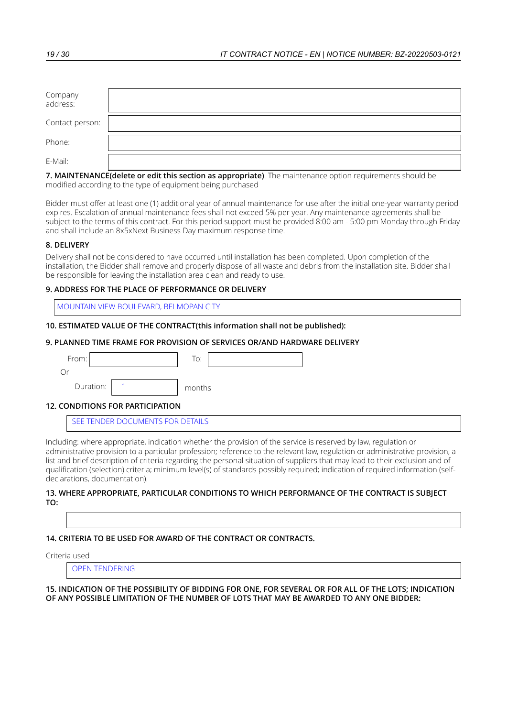| Company<br>address: |  |
|---------------------|--|
| Contact person:     |  |
| Phone:              |  |
| E-Mail:             |  |

Bidder must offer at least one (1) additional year of annual maintenance for use after the initial one-year warranty period expires. Escalation of annual maintenance fees shall not exceed 5% per year. Any maintenance agreements shall be subject to the terms of this contract. For this period support must be provided 8:00 am - 5:00 pm Monday through Friday and shall include an 8x5xNext Business Day maximum response time.

# **8. DELIVERY**

Delivery shall not be considered to have occurred until installation has been completed. Upon completion of the installation, the Bidder shall remove and properly dispose of all waste and debris from the installation site. Bidder shall be responsible for leaving the installation area clean and ready to use.

# **9. ADDRESS FOR THE PLACE OF PERFORMANCE OR DELIVERY**

MOUNTAIN VIEW BOULEVARD, BELMOPAN CITY

### **10. ESTIMATED VALUE OF THE CONTRACT(this information shall not be published):**

### **9. PLANNED TIME FRAME FOR PROVISION OF SERVICES OR/AND HARDWARE DELIVERY**

| From:     |            | To:    |  |  |
|-----------|------------|--------|--|--|
| Or        |            |        |  |  |
| Duration: |            | months |  |  |
| .<br>--   | ---------- |        |  |  |

### **12. CONDITIONS FOR PARTICIPATION**

SEE TENDER DOCUMENTS FOR DETAILS

Including: where appropriate, indication whether the provision of the service is reserved by law, regulation or administrative provision to a particular profession; reference to the relevant law, regulation or administrative provision, a list and brief description of criteria regarding the personal situation of suppliers that may lead to their exclusion and of qualification (selection) criteria; minimum level(s) of standards possibly required; indication of required information (selfdeclarations, documentation).

#### **13. WHERE APPROPRIATE, PARTICULAR CONDITIONS TO WHICH PERFORMANCE OF THE CONTRACT IS SUBJECT TO:**

### **14. CRITERIA TO BE USED FOR AWARD OF THE CONTRACT OR CONTRACTS.**

Criteria used

OPEN TENDERING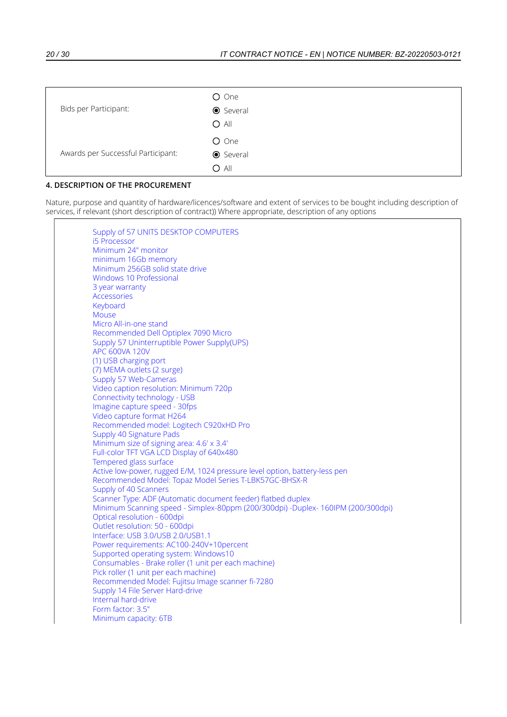| Bids per Participant:              | O One<br><b>●</b> Several<br>$O$ All |
|------------------------------------|--------------------------------------|
| Awards per Successful Participant: | O One<br><b>●</b> Several<br>$O$ All |

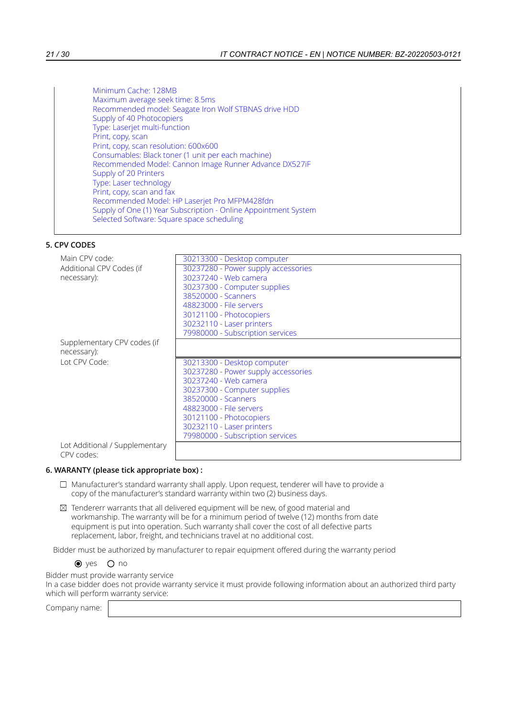# **5. CPV CODES**

| Main CPV code:              | 30213300 - Desktop computer         |
|-----------------------------|-------------------------------------|
| Additional CPV Codes (if    | 30237280 - Power supply accessories |
| necessary):                 | 30237240 - Web camera               |
|                             | 30237300 - Computer supplies        |
|                             | 38520000 - Scanners                 |
|                             | 48823000 - File servers             |
|                             | 30121100 - Photocopiers             |
|                             | 30232110 - Laser printers           |
|                             | 79980000 - Subscription services    |
| Supplementary CPV codes (if |                                     |
| necessary):                 |                                     |
|                             |                                     |
| Lot CPV Code:               | 30213300 - Desktop computer         |
|                             | 30237280 - Power supply accessories |
|                             | 30237240 - Web camera               |
|                             | 30237300 - Computer supplies        |
|                             | 38520000 - Scanners                 |
|                             | 48823000 - File servers             |
|                             | 30121100 - Photocopiers             |
|                             | 30232110 - Laser printers           |
|                             | 79980000 - Subscription services    |

### **6. WARANTY (please tick appropriate box) :**

- $\Box$  Manufacturer's standard warranty shall apply. Upon request, tenderer will have to provide a copy of the manufacturer's standard warranty within two (2) business days.
- $\boxtimes$  Tendererr warrants that all delivered equipment will be new, of good material and workmanship. The warranty will be for a minimum period of twelve (12) months from date equipment is put into operation. Such warranty shall cover the cost of all defective parts replacement, labor, freight, and technicians travel at no additional cost.

Bidder must be authorized by manufacturer to repair equipment offered during the warranty period

 $\bullet$  yes  $\circ$  no

Bidder must provide warranty service

In a case bidder does not provide warranty service it must provide following information about an authorized third party which will perform warranty service: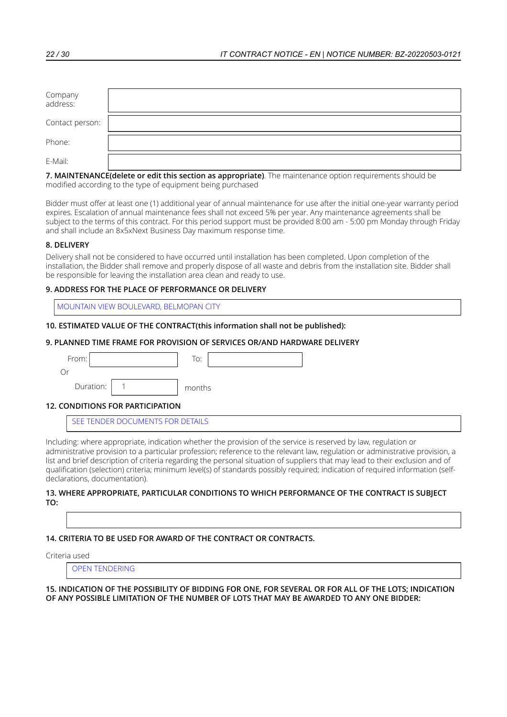| Company<br>address: |  |
|---------------------|--|
| Contact person:     |  |
| Phone:              |  |
| E-Mail:             |  |

Bidder must offer at least one (1) additional year of annual maintenance for use after the initial one-year warranty period expires. Escalation of annual maintenance fees shall not exceed 5% per year. Any maintenance agreements shall be subject to the terms of this contract. For this period support must be provided 8:00 am - 5:00 pm Monday through Friday and shall include an 8x5xNext Business Day maximum response time.

# **8. DELIVERY**

Delivery shall not be considered to have occurred until installation has been completed. Upon completion of the installation, the Bidder shall remove and properly dispose of all waste and debris from the installation site. Bidder shall be responsible for leaving the installation area clean and ready to use.

# **9. ADDRESS FOR THE PLACE OF PERFORMANCE OR DELIVERY**

MOUNTAIN VIEW BOULEVARD, BELMOPAN CITY

### **10. ESTIMATED VALUE OF THE CONTRACT(this information shall not be published):**

### **9. PLANNED TIME FRAME FOR PROVISION OF SERVICES OR/AND HARDWARE DELIVERY**

| From:     |            | To:    |  |  |
|-----------|------------|--------|--|--|
| Or        |            |        |  |  |
| Duration: |            | months |  |  |
| .<br>--   | ---------- |        |  |  |

### **12. CONDITIONS FOR PARTICIPATION**

SEE TENDER DOCUMENTS FOR DETAILS

Including: where appropriate, indication whether the provision of the service is reserved by law, regulation or administrative provision to a particular profession; reference to the relevant law, regulation or administrative provision, a list and brief description of criteria regarding the personal situation of suppliers that may lead to their exclusion and of qualification (selection) criteria; minimum level(s) of standards possibly required; indication of required information (selfdeclarations, documentation).

#### **13. WHERE APPROPRIATE, PARTICULAR CONDITIONS TO WHICH PERFORMANCE OF THE CONTRACT IS SUBJECT TO:**

### **14. CRITERIA TO BE USED FOR AWARD OF THE CONTRACT OR CONTRACTS.**

Criteria used

OPEN TENDERING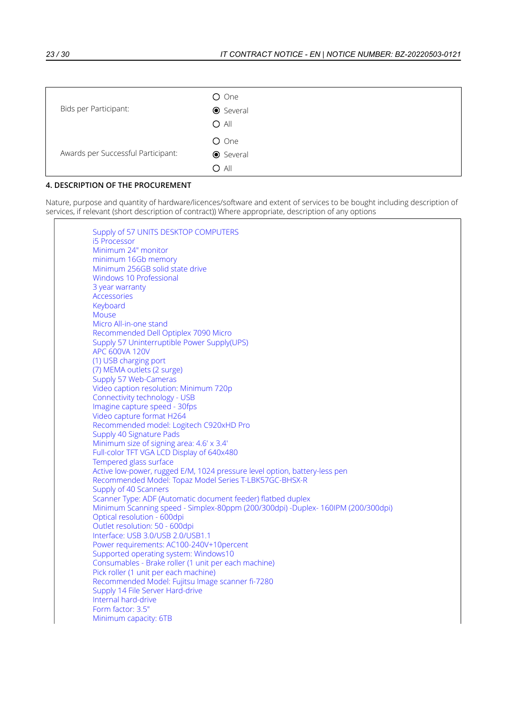| Bids per Participant:              | O One<br><b>●</b> Several<br>$O$ All |
|------------------------------------|--------------------------------------|
| Awards per Successful Participant: | O One<br><b>●</b> Several<br>$O$ All |

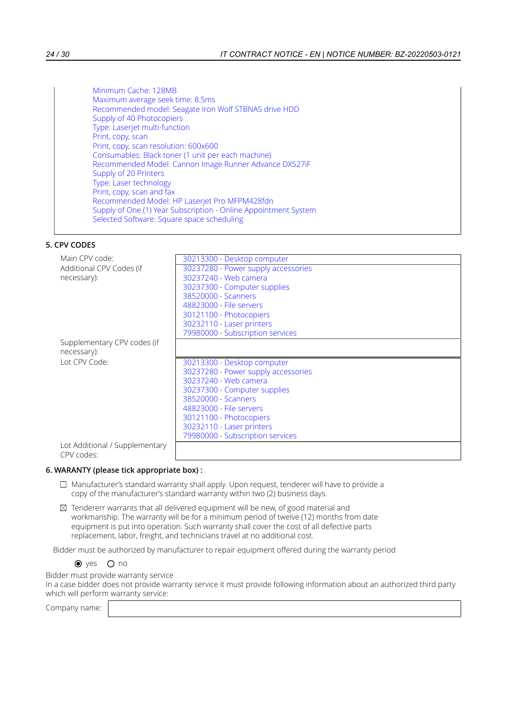# **5. CPV CODES**

| Main CPV code:              | 30213300 - Desktop computer         |
|-----------------------------|-------------------------------------|
| Additional CPV Codes (if    | 30237280 - Power supply accessories |
| necessary):                 | 30237240 - Web camera               |
|                             | 30237300 - Computer supplies        |
|                             | 38520000 - Scanners                 |
|                             | 48823000 - File servers             |
|                             | 30121100 - Photocopiers             |
|                             | 30232110 - Laser printers           |
|                             | 79980000 - Subscription services    |
| Supplementary CPV codes (if |                                     |
| necessary):                 |                                     |
|                             |                                     |
| Lot CPV Code:               | 30213300 - Desktop computer         |
|                             | 30237280 - Power supply accessories |
|                             | 30237240 - Web camera               |
|                             | 30237300 - Computer supplies        |
|                             | 38520000 - Scanners                 |
|                             | 48823000 - File servers             |
|                             | 30121100 - Photocopiers             |
|                             | 30232110 - Laser printers           |
|                             | 79980000 - Subscription services    |

### **6. WARANTY (please tick appropriate box) :**

- $\Box$  Manufacturer's standard warranty shall apply. Upon request, tenderer will have to provide a copy of the manufacturer's standard warranty within two (2) business days.
- $\boxtimes$  Tendererr warrants that all delivered equipment will be new, of good material and workmanship. The warranty will be for a minimum period of twelve (12) months from date equipment is put into operation. Such warranty shall cover the cost of all defective parts replacement, labor, freight, and technicians travel at no additional cost.

Bidder must be authorized by manufacturer to repair equipment offered during the warranty period

 $\bullet$  yes  $\circ$  no

Bidder must provide warranty service

In a case bidder does not provide warranty service it must provide following information about an authorized third party which will perform warranty service: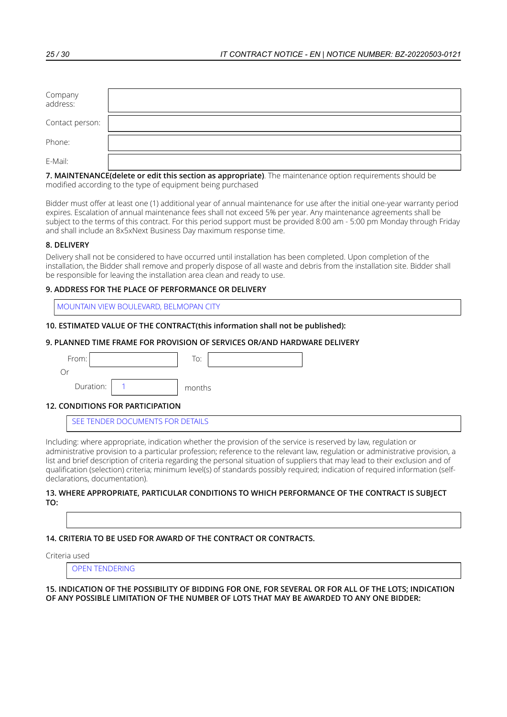| Company<br>address: |  |
|---------------------|--|
| Contact person:     |  |
| Phone:              |  |
| E-Mail:             |  |

Bidder must offer at least one (1) additional year of annual maintenance for use after the initial one-year warranty period expires. Escalation of annual maintenance fees shall not exceed 5% per year. Any maintenance agreements shall be subject to the terms of this contract. For this period support must be provided 8:00 am - 5:00 pm Monday through Friday and shall include an 8x5xNext Business Day maximum response time.

# **8. DELIVERY**

Delivery shall not be considered to have occurred until installation has been completed. Upon completion of the installation, the Bidder shall remove and properly dispose of all waste and debris from the installation site. Bidder shall be responsible for leaving the installation area clean and ready to use.

# **9. ADDRESS FOR THE PLACE OF PERFORMANCE OR DELIVERY**

MOUNTAIN VIEW BOULEVARD, BELMOPAN CITY

### **10. ESTIMATED VALUE OF THE CONTRACT(this information shall not be published):**

### **9. PLANNED TIME FRAME FOR PROVISION OF SERVICES OR/AND HARDWARE DELIVERY**

| From:     |            | To:    |  |  |
|-----------|------------|--------|--|--|
| Or        |            |        |  |  |
| Duration: |            | months |  |  |
| .<br>--   | ---------- |        |  |  |

### **12. CONDITIONS FOR PARTICIPATION**

SEE TENDER DOCUMENTS FOR DETAILS

Including: where appropriate, indication whether the provision of the service is reserved by law, regulation or administrative provision to a particular profession; reference to the relevant law, regulation or administrative provision, a list and brief description of criteria regarding the personal situation of suppliers that may lead to their exclusion and of qualification (selection) criteria; minimum level(s) of standards possibly required; indication of required information (selfdeclarations, documentation).

#### **13. WHERE APPROPRIATE, PARTICULAR CONDITIONS TO WHICH PERFORMANCE OF THE CONTRACT IS SUBJECT TO:**

### **14. CRITERIA TO BE USED FOR AWARD OF THE CONTRACT OR CONTRACTS.**

Criteria used

OPEN TENDERING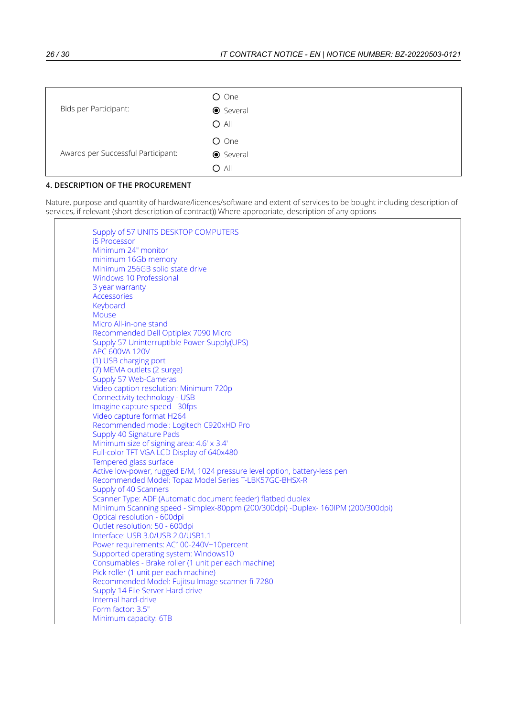| Bids per Participant:              | O One<br><b>●</b> Several<br>$O$ All |
|------------------------------------|--------------------------------------|
| Awards per Successful Participant: | O One<br><b>●</b> Several<br>$O$ All |

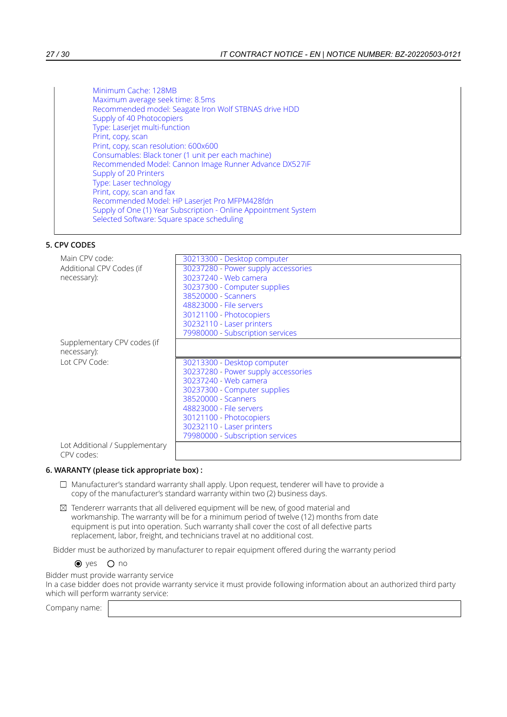# **5. CPV CODES**

| Main CPV code:              | 30213300 - Desktop computer                          |
|-----------------------------|------------------------------------------------------|
| Additional CPV Codes (if    | 30237280 - Power supply accessories                  |
| necessary):                 | 30237240 - Web camera                                |
|                             | 30237300 - Computer supplies                         |
|                             | 38520000 - Scanners                                  |
|                             | 48823000 - File servers                              |
|                             | 30121100 - Photocopiers                              |
|                             | 30232110 - Laser printers                            |
|                             | 79980000 - Subscription services                     |
| Supplementary CPV codes (if |                                                      |
| necessary):                 |                                                      |
|                             |                                                      |
| Lot CPV Code:               | 30213300 - Desktop computer                          |
|                             | 30237280 - Power supply accessories                  |
|                             | 30237240 - Web camera                                |
|                             | 30237300 - Computer supplies                         |
|                             | 38520000 - Scanners                                  |
|                             | 48823000 - File servers                              |
|                             |                                                      |
|                             | 30121100 - Photocopiers<br>30232110 - Laser printers |
|                             | 79980000 - Subscription services                     |

### **6. WARANTY (please tick appropriate box) :**

- $\Box$  Manufacturer's standard warranty shall apply. Upon request, tenderer will have to provide a copy of the manufacturer's standard warranty within two (2) business days.
- $\boxtimes$  Tendererr warrants that all delivered equipment will be new, of good material and workmanship. The warranty will be for a minimum period of twelve (12) months from date equipment is put into operation. Such warranty shall cover the cost of all defective parts replacement, labor, freight, and technicians travel at no additional cost.

Bidder must be authorized by manufacturer to repair equipment offered during the warranty period

 $\bullet$  yes  $\circ$  no

Bidder must provide warranty service

In a case bidder does not provide warranty service it must provide following information about an authorized third party which will perform warranty service: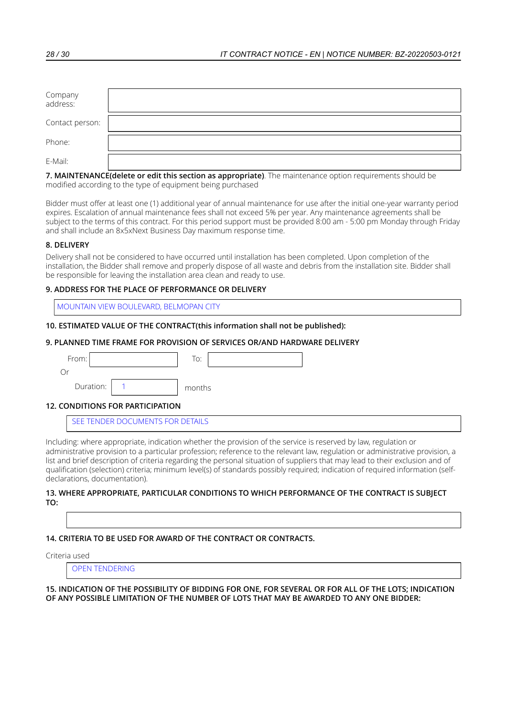| Company<br>address: |  |
|---------------------|--|
| Contact person:     |  |
| Phone:              |  |
| E-Mail:             |  |

Bidder must offer at least one (1) additional year of annual maintenance for use after the initial one-year warranty period expires. Escalation of annual maintenance fees shall not exceed 5% per year. Any maintenance agreements shall be subject to the terms of this contract. For this period support must be provided 8:00 am - 5:00 pm Monday through Friday and shall include an 8x5xNext Business Day maximum response time.

# **8. DELIVERY**

Delivery shall not be considered to have occurred until installation has been completed. Upon completion of the installation, the Bidder shall remove and properly dispose of all waste and debris from the installation site. Bidder shall be responsible for leaving the installation area clean and ready to use.

# **9. ADDRESS FOR THE PLACE OF PERFORMANCE OR DELIVERY**

MOUNTAIN VIEW BOULEVARD, BELMOPAN CITY

### **10. ESTIMATED VALUE OF THE CONTRACT(this information shall not be published):**

### **9. PLANNED TIME FRAME FOR PROVISION OF SERVICES OR/AND HARDWARE DELIVERY**

| From:     |                                    | To:    |
|-----------|------------------------------------|--------|
| Or        |                                    |        |
| Duration: |                                    | months |
| .<br>--   | - - - - - - - - - - - - - <b>.</b> |        |

### **12. CONDITIONS FOR PARTICIPATION**

SEE TENDER DOCUMENTS FOR DETAILS

Including: where appropriate, indication whether the provision of the service is reserved by law, regulation or administrative provision to a particular profession; reference to the relevant law, regulation or administrative provision, a list and brief description of criteria regarding the personal situation of suppliers that may lead to their exclusion and of qualification (selection) criteria; minimum level(s) of standards possibly required; indication of required information (selfdeclarations, documentation).

#### **13. WHERE APPROPRIATE, PARTICULAR CONDITIONS TO WHICH PERFORMANCE OF THE CONTRACT IS SUBJECT TO:**

### **14. CRITERIA TO BE USED FOR AWARD OF THE CONTRACT OR CONTRACTS.**

Criteria used

OPEN TENDERING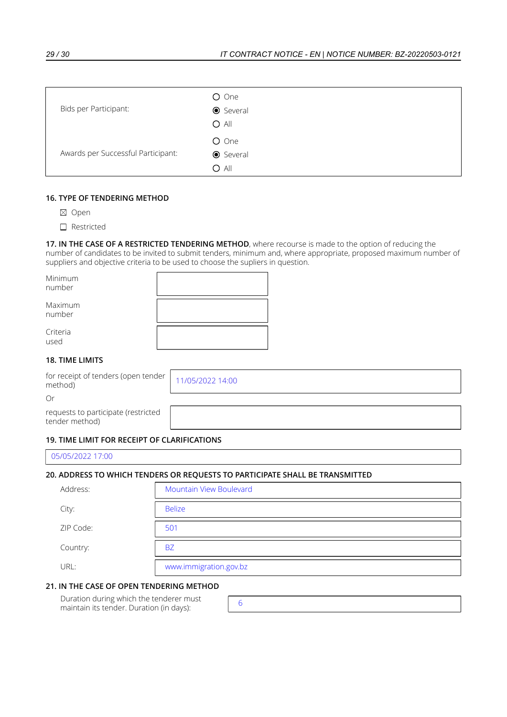| Bids per Participant:              | O One<br><b>●</b> Several<br>$O$ All |
|------------------------------------|--------------------------------------|
| Awards per Successful Participant: | O One<br><b>●</b> Several<br>O All   |

# **16. TYPE OF TENDERING METHOD**

- ⊠ Open
- □ Restricted

**17. IN THE CASE OF A RESTRICTED TENDERING METHOD**, where recourse is made to the option of reducing the number of candidates to be invited to submit tenders, minimum and, where appropriate, proposed maximum number of suppliers and objective criteria to be used to choose the supliers in question.

| Minimum<br>number |  |
|-------------------|--|
| Maximum<br>number |  |
| Criteria<br>used  |  |
|                   |  |

### **18. TIME LIMITS**

for receipt of tenders (open tender Tor receipt of tenders (open tender 11/05/2022 14:00<br>method)

Or

requests to participate (restricted tender method) \_\_\_\_\_

# **19. TIME LIMIT FOR RECEIPT OF CLARIFICATIONS**

| 05/05/2022 17:00 |  |  |
|------------------|--|--|
|                  |  |  |

# **20. ADDRESS TO WHICH TENDERS OR REQUESTS TO PARTICIPATE SHALL BE TRANSMITTED**

| Address:  | Mountain View Boulevard |
|-----------|-------------------------|
| City:     | <b>Belize</b>           |
| ZIP Code: | 501                     |
| Country:  | <b>BZ</b>               |
| URL:      | www.immigration.gov.bz  |

### **21. IN THE CASE OF OPEN TENDERING METHOD**

Duration during which the tenderer must maintain its tender. Duration (in days):